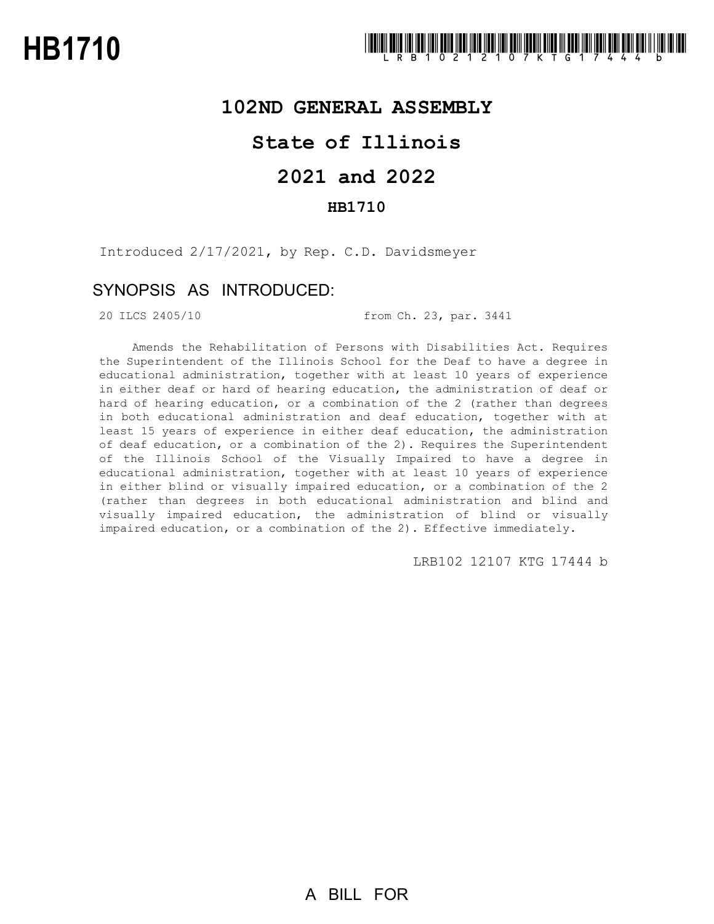### **102ND GENERAL ASSEMBLY**

# **State of Illinois**

# **2021 and 2022**

### **HB1710**

Introduced 2/17/2021, by Rep. C.D. Davidsmeyer

## SYNOPSIS AS INTRODUCED:

20 ILCS 2405/10 from Ch. 23, par. 3441

Amends the Rehabilitation of Persons with Disabilities Act. Requires the Superintendent of the Illinois School for the Deaf to have a degree in educational administration, together with at least 10 years of experience in either deaf or hard of hearing education, the administration of deaf or hard of hearing education, or a combination of the 2 (rather than degrees in both educational administration and deaf education, together with at least 15 years of experience in either deaf education, the administration of deaf education, or a combination of the 2). Requires the Superintendent of the Illinois School of the Visually Impaired to have a degree in educational administration, together with at least 10 years of experience in either blind or visually impaired education, or a combination of the 2 (rather than degrees in both educational administration and blind and visually impaired education, the administration of blind or visually impaired education, or a combination of the 2). Effective immediately.

LRB102 12107 KTG 17444 b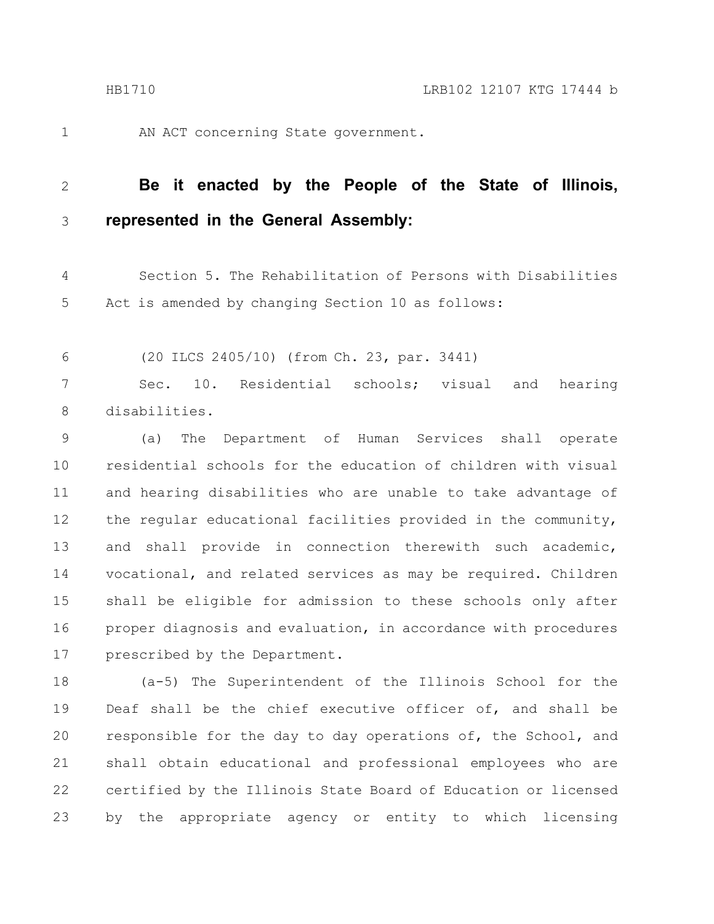1

AN ACT concerning State government.

#### **Be it enacted by the People of the State of Illinois, represented in the General Assembly:** 2 3

Section 5. The Rehabilitation of Persons with Disabilities Act is amended by changing Section 10 as follows: 4 5

(20 ILCS 2405/10) (from Ch. 23, par. 3441) 6

Sec. 10. Residential schools; visual and hearing disabilities. 7 8

(a) The Department of Human Services shall operate residential schools for the education of children with visual and hearing disabilities who are unable to take advantage of the regular educational facilities provided in the community, and shall provide in connection therewith such academic, vocational, and related services as may be required. Children shall be eligible for admission to these schools only after proper diagnosis and evaluation, in accordance with procedures prescribed by the Department. 9 10 11 12 13 14 15 16 17

(a-5) The Superintendent of the Illinois School for the Deaf shall be the chief executive officer of, and shall be responsible for the day to day operations of, the School, and shall obtain educational and professional employees who are certified by the Illinois State Board of Education or licensed by the appropriate agency or entity to which licensing 18 19 20 21 22 23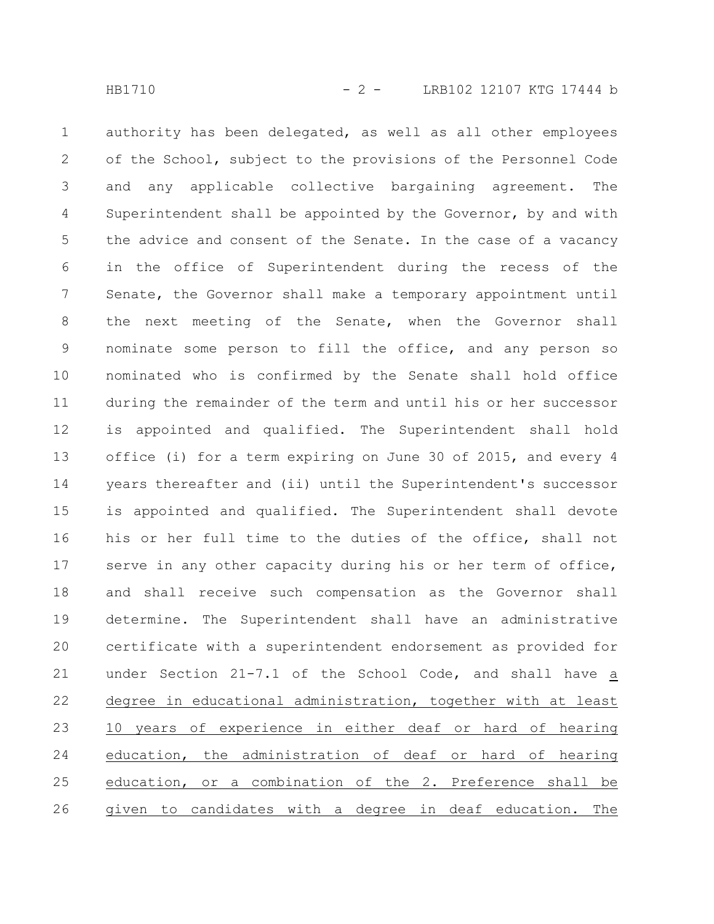authority has been delegated, as well as all other employees of the School, subject to the provisions of the Personnel Code and any applicable collective bargaining agreement. The Superintendent shall be appointed by the Governor, by and with the advice and consent of the Senate. In the case of a vacancy in the office of Superintendent during the recess of the Senate, the Governor shall make a temporary appointment until the next meeting of the Senate, when the Governor shall nominate some person to fill the office, and any person so nominated who is confirmed by the Senate shall hold office during the remainder of the term and until his or her successor is appointed and qualified. The Superintendent shall hold office (i) for a term expiring on June 30 of 2015, and every 4 years thereafter and (ii) until the Superintendent's successor is appointed and qualified. The Superintendent shall devote his or her full time to the duties of the office, shall not serve in any other capacity during his or her term of office, and shall receive such compensation as the Governor shall determine. The Superintendent shall have an administrative certificate with a superintendent endorsement as provided for under Section 21-7.1 of the School Code, and shall have a degree in educational administration, together with at least 10 years of experience in either deaf or hard of hearing education, the administration of deaf or hard of hearing education, or a combination of the 2. Preference shall be given to candidates with a degree in deaf education. The 1 2 3 4 5 6 7 8 9 10 11 12 13 14 15 16 17 18 19 20 21 22 23 24 25 26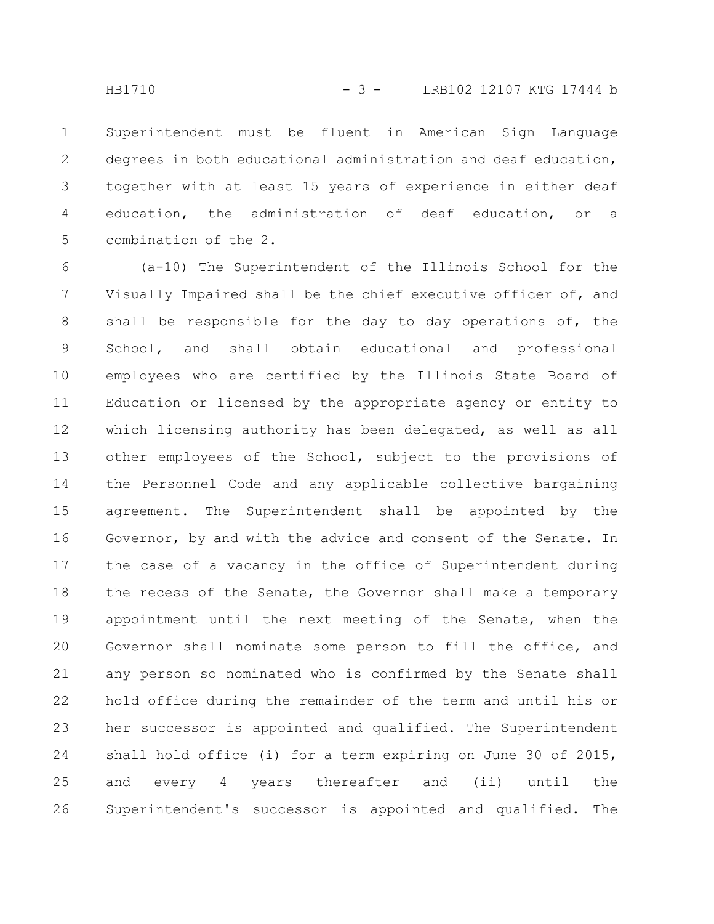Superintendent must be fluent in American Sign Language degrees in both educational administration and deaf education, together with at least 15 years of experience in either deaf the administration combination of the 2. 1 2 3 4 5

(a-10) The Superintendent of the Illinois School for the Visually Impaired shall be the chief executive officer of, and shall be responsible for the day to day operations of, the School, and shall obtain educational and professional employees who are certified by the Illinois State Board of Education or licensed by the appropriate agency or entity to which licensing authority has been delegated, as well as all other employees of the School, subject to the provisions of the Personnel Code and any applicable collective bargaining agreement. The Superintendent shall be appointed by the Governor, by and with the advice and consent of the Senate. In the case of a vacancy in the office of Superintendent during the recess of the Senate, the Governor shall make a temporary appointment until the next meeting of the Senate, when the Governor shall nominate some person to fill the office, and any person so nominated who is confirmed by the Senate shall hold office during the remainder of the term and until his or her successor is appointed and qualified. The Superintendent shall hold office (i) for a term expiring on June 30 of 2015, and every 4 years thereafter and (ii) until the Superintendent's successor is appointed and qualified. The 6 7 8 9 10 11 12 13 14 15 16 17 18 19 20 21 22 23 24 25 26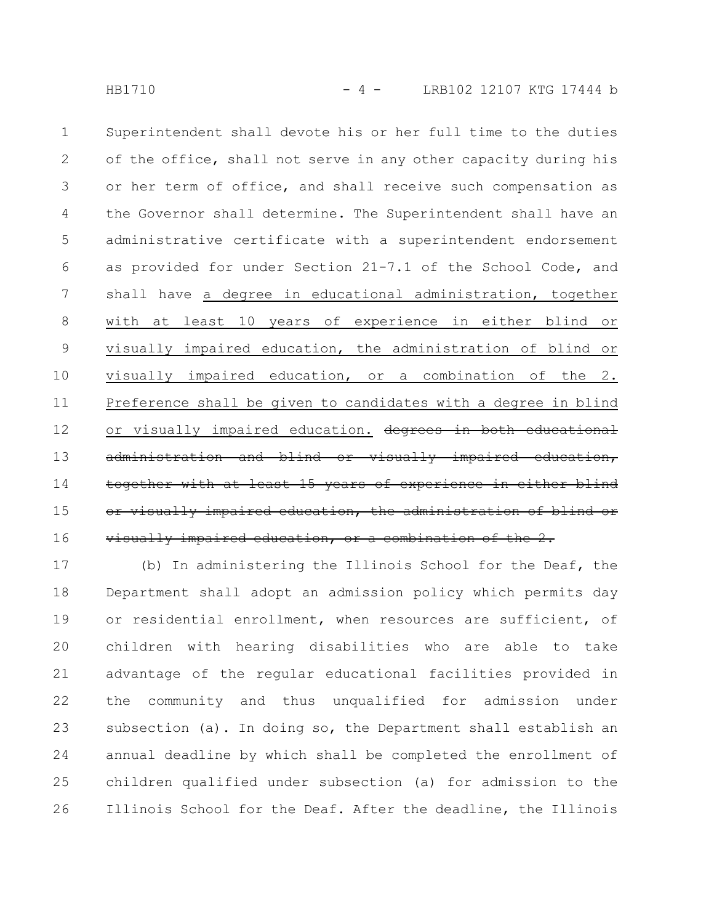Superintendent shall devote his or her full time to the duties of the office, shall not serve in any other capacity during his or her term of office, and shall receive such compensation as the Governor shall determine. The Superintendent shall have an administrative certificate with a superintendent endorsement as provided for under Section 21-7.1 of the School Code, and shall have a degree in educational administration, together with at least 10 years of experience in either blind or visually impaired education, the administration of blind or visually impaired education, or a combination of the 2. Preference shall be given to candidates with a degree in blind or visually impaired education. degrees in both educational administration and blind or visually impaired together with at least 15 years of experience in visually impaired education, the administration of blind or visually impaired education, or a combination of the 2. 1 2 3 4 5 6 7 8 9 10 11 12 13 14 15 16

(b) In administering the Illinois School for the Deaf, the Department shall adopt an admission policy which permits day or residential enrollment, when resources are sufficient, of children with hearing disabilities who are able to take advantage of the regular educational facilities provided in the community and thus unqualified for admission under subsection (a). In doing so, the Department shall establish an annual deadline by which shall be completed the enrollment of children qualified under subsection (a) for admission to the Illinois School for the Deaf. After the deadline, the Illinois 17 18 19 20 21 22 23 24 25 26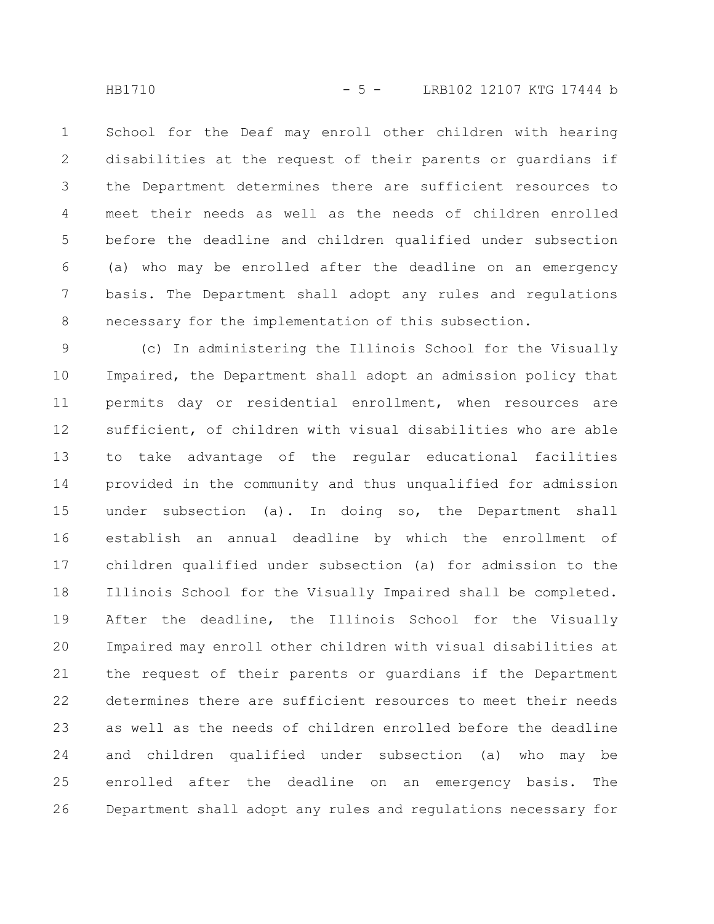HB1710 - 5 - LRB102 12107 KTG 17444 b

School for the Deaf may enroll other children with hearing disabilities at the request of their parents or guardians if the Department determines there are sufficient resources to meet their needs as well as the needs of children enrolled before the deadline and children qualified under subsection (a) who may be enrolled after the deadline on an emergency basis. The Department shall adopt any rules and regulations necessary for the implementation of this subsection. 1 2 3 4 5 6 7 8

(c) In administering the Illinois School for the Visually Impaired, the Department shall adopt an admission policy that permits day or residential enrollment, when resources are sufficient, of children with visual disabilities who are able to take advantage of the regular educational facilities provided in the community and thus unqualified for admission under subsection (a). In doing so, the Department shall establish an annual deadline by which the enrollment of children qualified under subsection (a) for admission to the Illinois School for the Visually Impaired shall be completed. After the deadline, the Illinois School for the Visually Impaired may enroll other children with visual disabilities at the request of their parents or guardians if the Department determines there are sufficient resources to meet their needs as well as the needs of children enrolled before the deadline and children qualified under subsection (a) who may be enrolled after the deadline on an emergency basis. The Department shall adopt any rules and regulations necessary for 9 10 11 12 13 14 15 16 17 18 19 20 21 22 23 24 25 26